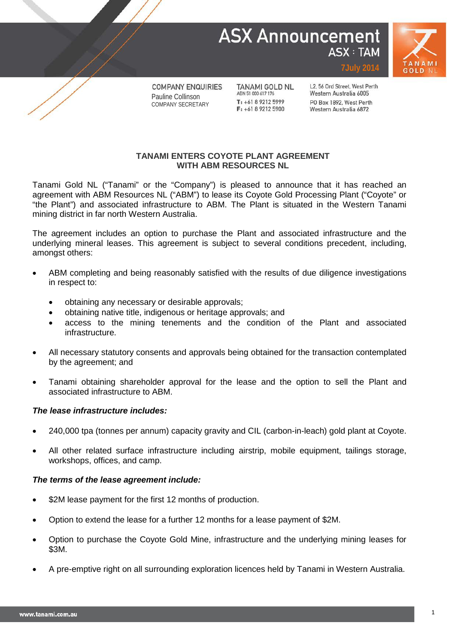# **ASX Announcement ASX: TAM**



**COMPANY ENQUIRIES** Pauline Collinson COMPANY SECRETARY

**TANAMI GOLD NL** ABN 51 000 617 176  $T: +61892125999$  $F_1$  +61 8 9212 5900

L2, 56 Ord Street, West Perth Western Australia 6005 PO Box 1892, West Perth Western Australia 6872

**7July 2014**

## **TANAMI ENTERS COYOTE PLANT AGREEMENT WITH ABM RESOURCES NL**

Tanami Gold NL ("Tanami" or the "Company") is pleased to announce that it has reached an agreement with ABM Resources NL ("ABM") to lease its Coyote Gold Processing Plant ("Coyote" or "the Plant") and associated infrastructure to ABM. The Plant is situated in the Western Tanami mining district in far north Western Australia.

The agreement includes an option to purchase the Plant and associated infrastructure and the underlying mineral leases. This agreement is subject to several conditions precedent, including, amongst others:

- ABM completing and being reasonably satisfied with the results of due diligence investigations in respect to:
	- obtaining any necessary or desirable approvals;
	- obtaining native title, indigenous or heritage approvals; and
	- access to the mining tenements and the condition of the Plant and associated infrastructure.
- All necessary statutory consents and approvals being obtained for the transaction contemplated by the agreement; and
- Tanami obtaining shareholder approval for the lease and the option to sell the Plant and associated infrastructure to ABM.

## *The lease infrastructure includes:*

- 240,000 tpa (tonnes per annum) capacity gravity and CIL (carbon-in-leach) gold plant at Coyote.
- All other related surface infrastructure including airstrip, mobile equipment, tailings storage, workshops, offices, and camp.

## *The terms of the lease agreement include:*

- \$2M lease payment for the first 12 months of production.
- Option to extend the lease for a further 12 months for a lease payment of \$2M.
- Option to purchase the Coyote Gold Mine, infrastructure and the underlying mining leases for \$3M.
- A pre-emptive right on all surrounding exploration licences held by Tanami in Western Australia.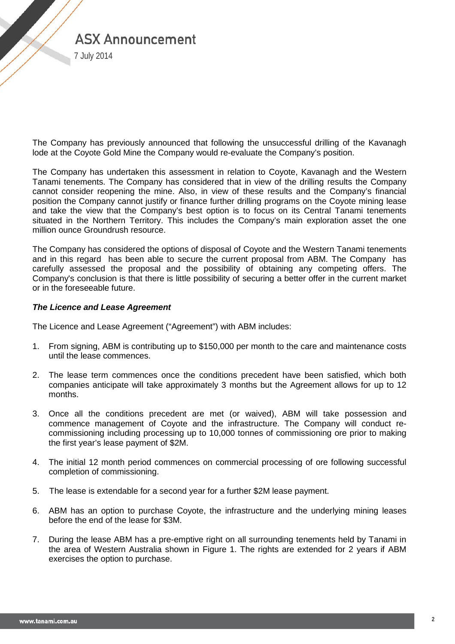

7 July 2014

The Company has previously announced that following the unsuccessful drilling of the Kavanagh lode at the Coyote Gold Mine the Company would re-evaluate the Company's position.

The Company has undertaken this assessment in relation to Coyote, Kavanagh and the Western Tanami tenements. The Company has considered that in view of the drilling results the Company cannot consider reopening the mine. Also, in view of these results and the Company's financial position the Company cannot justify or finance further drilling programs on the Coyote mining lease and take the view that the Company's best option is to focus on its Central Tanami tenements situated in the Northern Territory. This includes the Company's main exploration asset the one million ounce Groundrush resource.

The Company has considered the options of disposal of Coyote and the Western Tanami tenements and in this regard has been able to secure the current proposal from ABM. The Company has carefully assessed the proposal and the possibility of obtaining any competing offers. The Company's conclusion is that there is little possibility of securing a better offer in the current market or in the foreseeable future.

#### *The Licence and Lease Agreement*

The Licence and Lease Agreement ("Agreement") with ABM includes:

- 1. From signing, ABM is contributing up to \$150,000 per month to the care and maintenance costs until the lease commences.
- 2. The lease term commences once the conditions precedent have been satisfied, which both companies anticipate will take approximately 3 months but the Agreement allows for up to 12 months.
- 3. Once all the conditions precedent are met (or waived), ABM will take possession and commence management of Coyote and the infrastructure. The Company will conduct recommissioning including processing up to 10,000 tonnes of commissioning ore prior to making the first year's lease payment of \$2M.
- 4. The initial 12 month period commences on commercial processing of ore following successful completion of commissioning.
- 5. The lease is extendable for a second year for a further \$2M lease payment.
- 6. ABM has an option to purchase Coyote, the infrastructure and the underlying mining leases before the end of the lease for \$3M.
- 7. During the lease ABM has a pre-emptive right on all surrounding tenements held by Tanami in the area of Western Australia shown in Figure 1. The rights are extended for 2 years if ABM exercises the option to purchase.